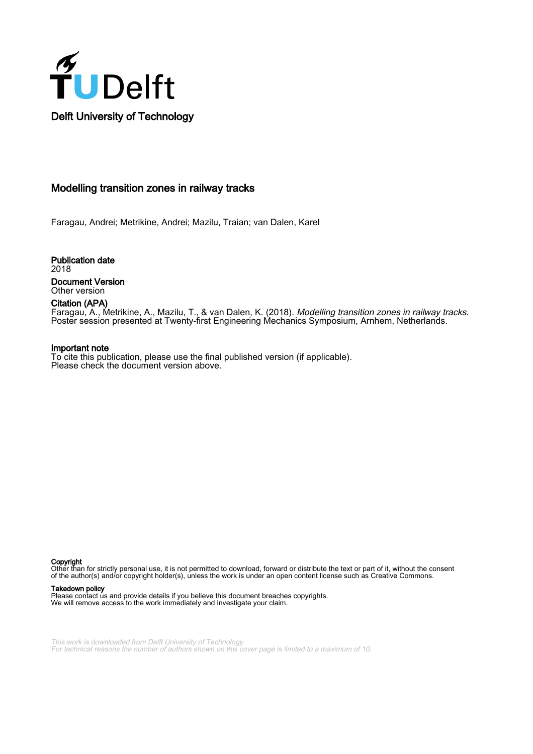

#### Modelling transition zones in railway tracks

Faragau, Andrei; Metrikine, Andrei; Mazilu, Traian; van Dalen, Karel

Publication date 2018 Document Version Other version

#### Citation (APA)

Faragau, A., Metrikine, A., Mazilu, T., & van Dalen, K. (2018). Modelling transition zones in railway tracks. Poster session presented at Twenty-first Engineering Mechanics Symposium, Arnhem, Netherlands.

#### Important note

To cite this publication, please use the final published version (if applicable). Please check the document version above.

Copyright

Other than for strictly personal use, it is not permitted to download, forward or distribute the text or part of it, without the consent of the author(s) and/or copyright holder(s), unless the work is under an open content license such as Creative Commons.

#### Takedown policy

Please contact us and provide details if you believe this document breaches copyrights. We will remove access to the work immediately and investigate your claim.

This work is downloaded from Delft University of Technology. For technical reasons the number of authors shown on this cover page is limited to a maximum of 10.